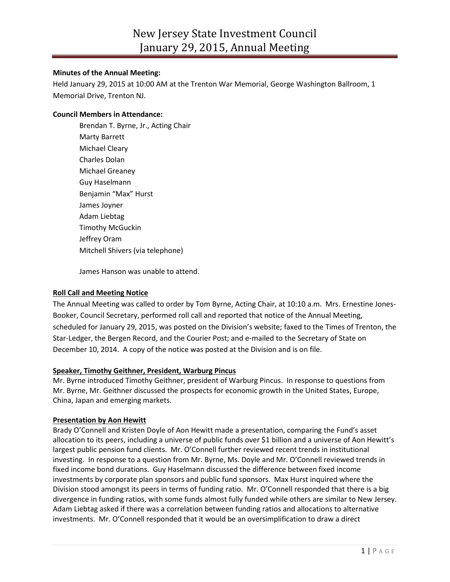#### **Minutes of the Annual Meeting:**

Held January 29, 2015 at 10:00 AM at the Trenton War Memorial, George Washington Ballroom, 1 Memorial Drive, Trenton NJ.

### **Council Members in Attendance:**

Brendan T. Byrne, Jr., Acting Chair Marty Barrett Michael Cleary Charles Dolan Michael Greaney Guy Haselmann Benjamin "Max" Hurst James Joyner Adam Liebtag Timothy McGuckin Jeffrey Oram Mitchell Shivers (via telephone)

James Hanson was unable to attend.

# **Roll Call and Meeting Notice**

The Annual Meeting was called to order by Tom Byrne, Acting Chair, at 10:10 a.m. Mrs. Ernestine Jones-Booker, Council Secretary, performed roll call and reported that notice of the Annual Meeting, scheduled for January 29, 2015, was posted on the Division's website; faxed to the Times of Trenton, the Star-Ledger, the Bergen Record, and the Courier Post; and e-mailed to the Secretary of State on December 10, 2014. A copy of the notice was posted at the Division and is on file.

#### **Speaker, Timothy Geithner, President, Warburg Pincus**

Mr. Byrne introduced Timothy Geithner, president of Warburg Pincus. In response to questions from Mr. Byrne, Mr. Geithner discussed the prospects for economic growth in the United States, Europe, China, Japan and emerging markets.

#### **Presentation by Aon Hewitt**

Brady O'Connell and Kristen Doyle of Aon Hewitt made a presentation, comparing the Fund's asset allocation to its peers, including a universe of public funds over \$1 billion and a universe of Aon Hewitt's largest public pension fund clients. Mr. O'Connell further reviewed recent trends in institutional investing. In response to a question from Mr. Byrne, Ms. Doyle and Mr. O'Connell reviewed trends in fixed income bond durations. Guy Haselmann discussed the difference between fixed income investments by corporate plan sponsors and public fund sponsors. Max Hurst inquired where the Division stood amongst its peers in terms of funding ratio. Mr. O'Connell responded that there is a big divergence in funding ratios, with some funds almost fully funded while others are similar to New Jersey. Adam Liebtag asked if there was a correlation between funding ratios and allocations to alternative investments. Mr. O'Connell responded that it would be an oversimplification to draw a direct